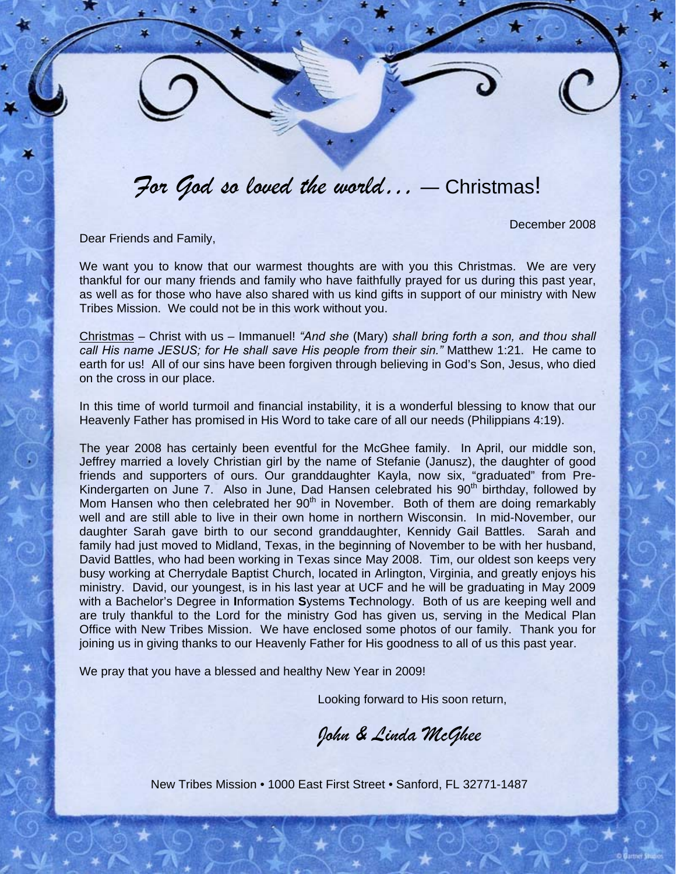## *For God so loved the world… ―* Christmas!

December 2008

Dear Friends and Family,

We want you to know that our warmest thoughts are with you this Christmas. We are very thankful for our many friends and family who have faithfully prayed for us during this past year, as well as for those who have also shared with us kind gifts in support of our ministry with New Tribes Mission. We could not be in this work without you.

Christmas – Christ with us – Immanuel! *"And she* (Mary) *shall bring forth a son, and thou shall call His name JESUS; for He shall save His people from their sin."* Matthew 1:21. He came to earth for us!All of our sins have been forgiven through believing in God's Son, Jesus, who died on the cross in our place.

In this time of world turmoil and financial instability, it is a wonderful blessing to know that our Heavenly Father has promised in His Word to take care of all our needs (Philippians 4:19).

The year 2008 has certainly been eventful for the McGhee family. In April, our middle son, Jeffrey married a lovely Christian girl by the name of Stefanie (Janusz), the daughter of good friends and supporters of ours. Our granddaughter Kayla, now six, "graduated" from Pre-Kindergarten on June 7. Also in June, Dad Hansen celebrated his 90<sup>th</sup> birthday, followed by Mom Hansen who then celebrated her  $90<sup>th</sup>$  in November. Both of them are doing remarkably well and are still able to live in their own home in northern Wisconsin. In mid-November, our daughter Sarah gave birth to our second granddaughter, Kennidy Gail Battles. Sarah and family had just moved to Midland, Texas, in the beginning of November to be with her husband, David Battles, who had been working in Texas since May 2008. Tim, our oldest son keeps very busy working at Cherrydale Baptist Church, located in Arlington, Virginia, and greatly enjoys his ministry. David, our youngest, is in his last year at UCF and he will be graduating in May 2009 with a Bachelor's Degree in **I**nformation **S**ystems **T**echnology. Both of us are keeping well and are truly thankful to the Lord for the ministry God has given us, serving in the Medical Plan Office with New Tribes Mission. We have enclosed some photos of our family. Thank you for joining us in giving thanks to our Heavenly Father for His goodness to all of us this past year.

We pray that you have a blessed and healthy New Year in 2009!

Looking forward to His soon return,

*John & Linda McGhee* 

New Tribes Mission • 1000 East First Street • Sanford, FL 32771-1487